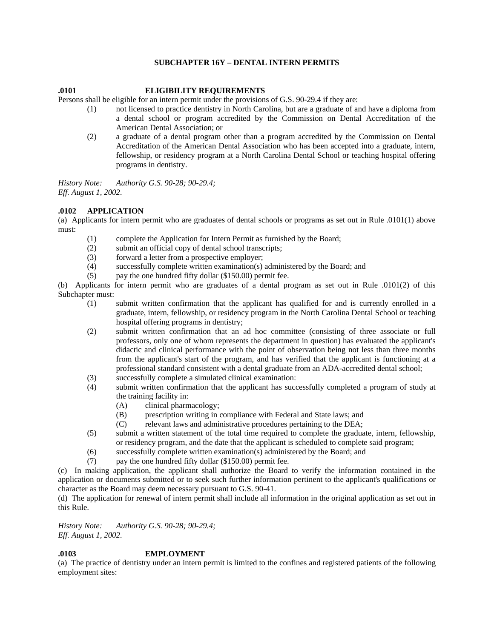### **SUBCHAPTER 16Y – DENTAL INTERN PERMITS**

#### **.0101 ELIGIBILITY REQUIREMENTS**

Persons shall be eligible for an intern permit under the provisions of G.S. 90-29.4 if they are:

- (1) not licensed to practice dentistry in North Carolina, but are a graduate of and have a diploma from a dental school or program accredited by the Commission on Dental Accreditation of the American Dental Association; or
- (2) a graduate of a dental program other than a program accredited by the Commission on Dental Accreditation of the American Dental Association who has been accepted into a graduate, intern, fellowship, or residency program at a North Carolina Dental School or teaching hospital offering programs in dentistry.

*History Note: Authority G.S. 90-28; 90-29.4; Eff. August 1, 2002.* 

#### **.0102 APPLICATION**

(a) Applicants for intern permit who are graduates of dental schools or programs as set out in Rule .0101(1) above must:

- (1) complete the Application for Intern Permit as furnished by the Board;
- (2) submit an official copy of dental school transcripts;
- (3) forward a letter from a prospective employer;
- (4) successfully complete written examination(s) administered by the Board; and
- (5) pay the one hundred fifty dollar (\$150.00) permit fee.

(b) Applicants for intern permit who are graduates of a dental program as set out in Rule .0101(2) of this Subchapter must:

- (1) submit written confirmation that the applicant has qualified for and is currently enrolled in a graduate, intern, fellowship, or residency program in the North Carolina Dental School or teaching hospital offering programs in dentistry;
- (2) submit written confirmation that an ad hoc committee (consisting of three associate or full professors, only one of whom represents the department in question) has evaluated the applicant's didactic and clinical performance with the point of observation being not less than three months from the applicant's start of the program, and has verified that the applicant is functioning at a professional standard consistent with a dental graduate from an ADA-accredited dental school;
- (3) successfully complete a simulated clinical examination:
- (4) submit written confirmation that the applicant has successfully completed a program of study at the training facility in:
	- (A) clinical pharmacology;
	- (B) prescription writing in compliance with Federal and State laws; and
	- (C) relevant laws and administrative procedures pertaining to the DEA;
- (5) submit a written statement of the total time required to complete the graduate, intern, fellowship, or residency program, and the date that the applicant is scheduled to complete said program;
- (6) successfully complete written examination(s) administered by the Board; and
- (7) pay the one hundred fifty dollar (\$150.00) permit fee.

(c) In making application, the applicant shall authorize the Board to verify the information contained in the application or documents submitted or to seek such further information pertinent to the applicant's qualifications or character as the Board may deem necessary pursuant to G.S. 90-41.

(d) The application for renewal of intern permit shall include all information in the original application as set out in this Rule.

*History Note: Authority G.S. 90-28; 90-29.4; Eff. August 1, 2002.* 

# **.0103 EMPLOYMENT**

(a) The practice of dentistry under an intern permit is limited to the confines and registered patients of the following employment sites: